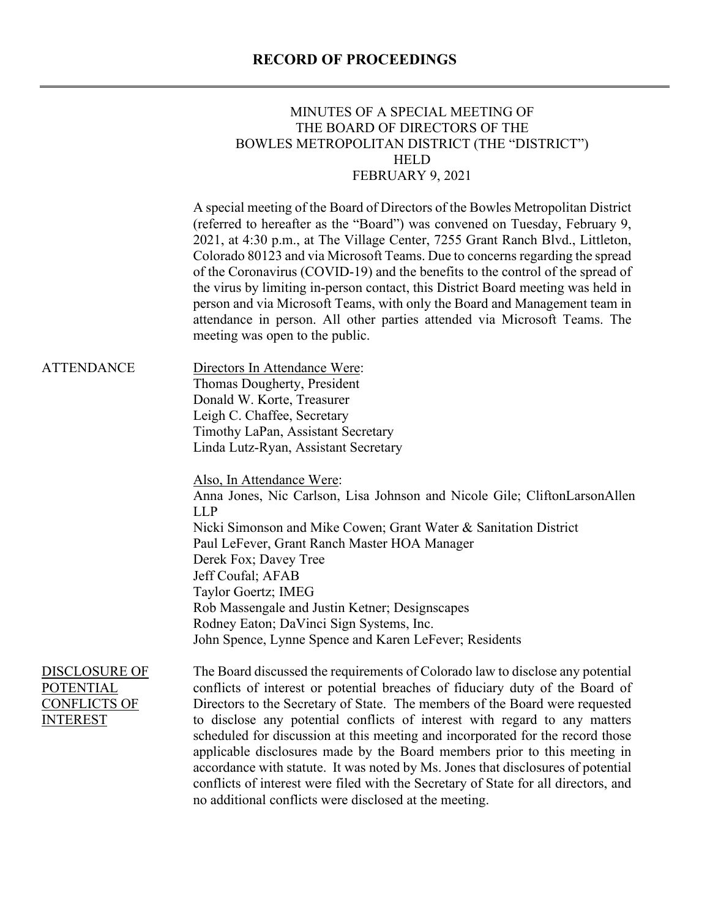#### **RECORD OF PROCEEDINGS**

#### MINUTES OF A SPECIAL MEETING OF THE BOARD OF DIRECTORS OF THE BOWLES METROPOLITAN DISTRICT (THE "DISTRICT") HELD FEBRUARY 9, 2021

A special meeting of the Board of Directors of the Bowles Metropolitan District (referred to hereafter as the "Board") was convened on Tuesday, February 9, 2021, at 4:30 p.m., at The Village Center, 7255 Grant Ranch Blvd., Littleton, Colorado 80123 and via Microsoft Teams. Due to concerns regarding the spread of the Coronavirus (COVID-19) and the benefits to the control of the spread of the virus by limiting in-person contact, this District Board meeting was held in person and via Microsoft Teams, with only the Board and Management team in attendance in person. All other parties attended via Microsoft Teams. The meeting was open to the public.

ATTENDANCE Directors In Attendance Were: Thomas Dougherty, President Donald W. Korte, Treasurer Leigh C. Chaffee, Secretary Timothy LaPan, Assistant Secretary Linda Lutz-Ryan, Assistant Secretary

> Also, In Attendance Were: Anna Jones, Nic Carlson, Lisa Johnson and Nicole Gile; CliftonLarsonAllen LLP Nicki Simonson and Mike Cowen; Grant Water & Sanitation District Paul LeFever, Grant Ranch Master HOA Manager Derek Fox; Davey Tree Jeff Coufal; AFAB Taylor Goertz; IMEG Rob Massengale and Justin Ketner; Designscapes Rodney Eaton; DaVinci Sign Systems, Inc. John Spence, Lynne Spence and Karen LeFever; Residents

DISCLOSURE OF POTENTIAL CONFLICTS OF **INTEREST** The Board discussed the requirements of Colorado law to disclose any potential conflicts of interest or potential breaches of fiduciary duty of the Board of Directors to the Secretary of State. The members of the Board were requested to disclose any potential conflicts of interest with regard to any matters scheduled for discussion at this meeting and incorporated for the record those applicable disclosures made by the Board members prior to this meeting in accordance with statute. It was noted by Ms. Jones that disclosures of potential conflicts of interest were filed with the Secretary of State for all directors, and no additional conflicts were disclosed at the meeting.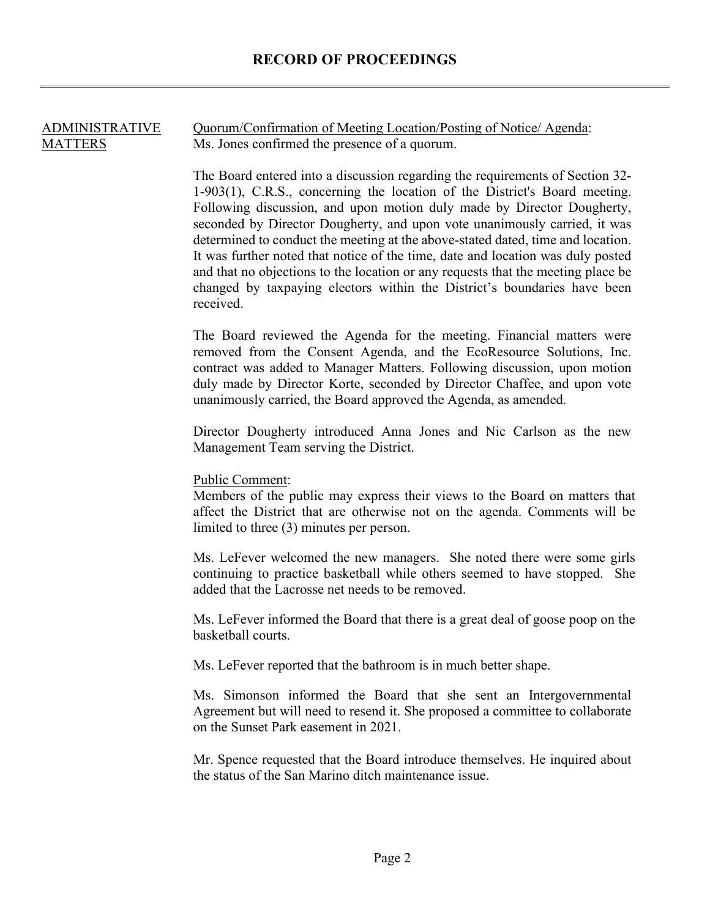# ADMINISTRATIVE **MATTERS** Quorum/Confirmation of Meeting Location/Posting of Notice/ Agenda: Ms. Jones confirmed the presence of a quorum. The Board entered into a discussion regarding the requirements of Section 32- 1-903(1), C.R.S., concerning the location of the District's Board meeting. Following discussion, and upon motion duly made by Director Dougherty, seconded by Director Dougherty, and upon vote unanimously carried, it was determined to conduct the meeting at the above-stated dated, time and location. It was further noted that notice of the time, date and location was duly posted and that no objections to the location or any requests that the meeting place be changed by taxpaying electors within the District's boundaries have been received. The Board reviewed the Agenda for the meeting. Financial matters were removed from the Consent Agenda, and the EcoResource Solutions, Inc. contract was added to Manager Matters. Following discussion, upon motion duly made by Director Korte, seconded by Director Chaffee, and upon vote unanimously carried, the Board approved the Agenda, as amended. Director Dougherty introduced Anna Jones and Nic Carlson as the new Management Team serving the District. Public Comment: Members of the public may express their views to the Board on matters that affect the District that are otherwise not on the agenda. Comments will be limited to three (3) minutes per person. Ms. LeFever welcomed the new managers. She noted there were some girls continuing to practice basketball while others seemed to have stopped. She added that the Lacrosse net needs to be removed. Ms. LeFever informed the Board that there is a great deal of goose poop on the basketball courts. Ms. LeFever reported that the bathroom is in much better shape. Ms. Simonson informed the Board that she sent an Intergovernmental Agreement but will need to resend it. She proposed a committee to collaborate on the Sunset Park easement in 2021. Mr. Spence requested that the Board introduce themselves. He inquired about the status of the San Marino ditch maintenance issue.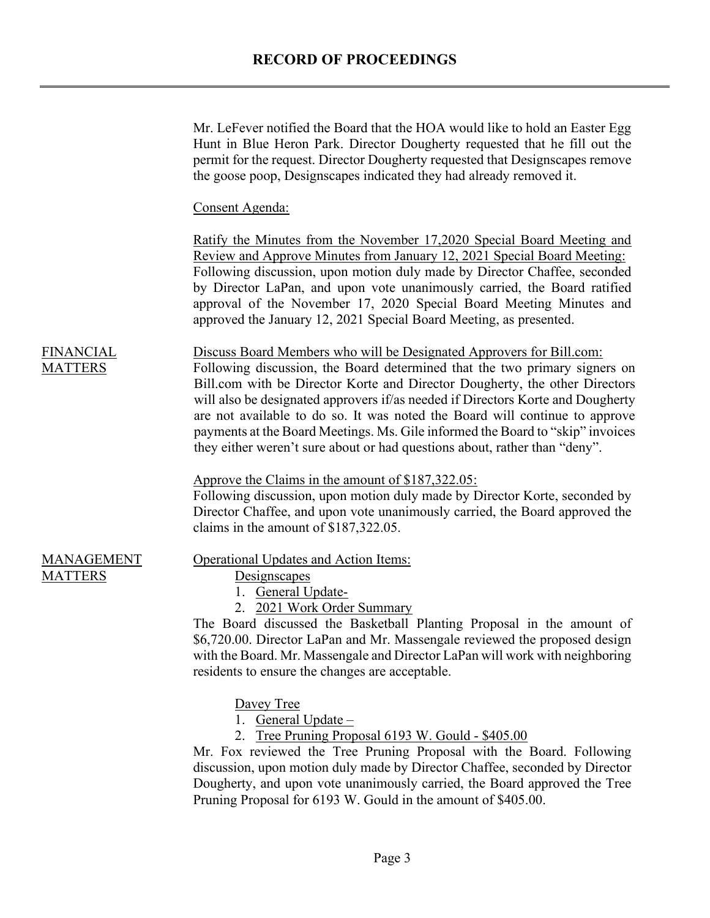## **RECORD OF PROCEEDINGS**

|                                     | Mr. LeFever notified the Board that the HOA would like to hold an Easter Egg<br>Hunt in Blue Heron Park. Director Dougherty requested that he fill out the<br>permit for the request. Director Dougherty requested that Designscapes remove<br>the goose poop, Design capes indicated they had already removed it.                                                                                                                                                                                                                                                  |
|-------------------------------------|---------------------------------------------------------------------------------------------------------------------------------------------------------------------------------------------------------------------------------------------------------------------------------------------------------------------------------------------------------------------------------------------------------------------------------------------------------------------------------------------------------------------------------------------------------------------|
|                                     | Consent Agenda:                                                                                                                                                                                                                                                                                                                                                                                                                                                                                                                                                     |
|                                     | <u>Ratify the Minutes from the November 17,2020 Special Board Meeting and</u><br>Review and Approve Minutes from January 12, 2021 Special Board Meeting:<br>Following discussion, upon motion duly made by Director Chaffee, seconded<br>by Director LaPan, and upon vote unanimously carried, the Board ratified<br>approval of the November 17, 2020 Special Board Meeting Minutes and<br>approved the January 12, 2021 Special Board Meeting, as presented.                                                                                                      |
| <b>FINANCIAL</b><br><b>MATTERS</b>  | Discuss Board Members who will be Designated Approvers for Bill.com:<br>Following discussion, the Board determined that the two primary signers on<br>Bill.com with be Director Korte and Director Dougherty, the other Directors<br>will also be designated approvers if/as needed if Directors Korte and Dougherty<br>are not available to do so. It was noted the Board will continue to approve<br>payments at the Board Meetings. Ms. Gile informed the Board to "skip" invoices<br>they either weren't sure about or had questions about, rather than "deny". |
|                                     | Approve the Claims in the amount of \$187,322.05:<br>Following discussion, upon motion duly made by Director Korte, seconded by<br>Director Chaffee, and upon vote unanimously carried, the Board approved the<br>claims in the amount of \$187,322.05.                                                                                                                                                                                                                                                                                                             |
| <b>MANAGEMENT</b><br><b>MATTERS</b> | <b>Operational Updates and Action Items:</b><br>Designscapes<br>General Update-<br>2. 2021 Work Order Summary<br>The Board discussed the Basketball Planting Proposal in the amount of<br>\$6,720.00. Director LaPan and Mr. Massengale reviewed the proposed design<br>with the Board. Mr. Massengale and Director LaPan will work with neighboring<br>residents to ensure the changes are acceptable.                                                                                                                                                             |
|                                     | Davey Tree<br>1. General Update $-$<br>Tree Pruning Proposal 6193 W. Gould - \$405.00<br>Mr. Fox reviewed the Tree Pruning Proposal with the Board. Following<br>discussion, upon motion duly made by Director Chaffee, seconded by Director<br>Dougherty, and upon vote unanimously carried, the Board approved the Tree                                                                                                                                                                                                                                           |

Pruning Proposal for 6193 W. Gould in the amount of \$405.00.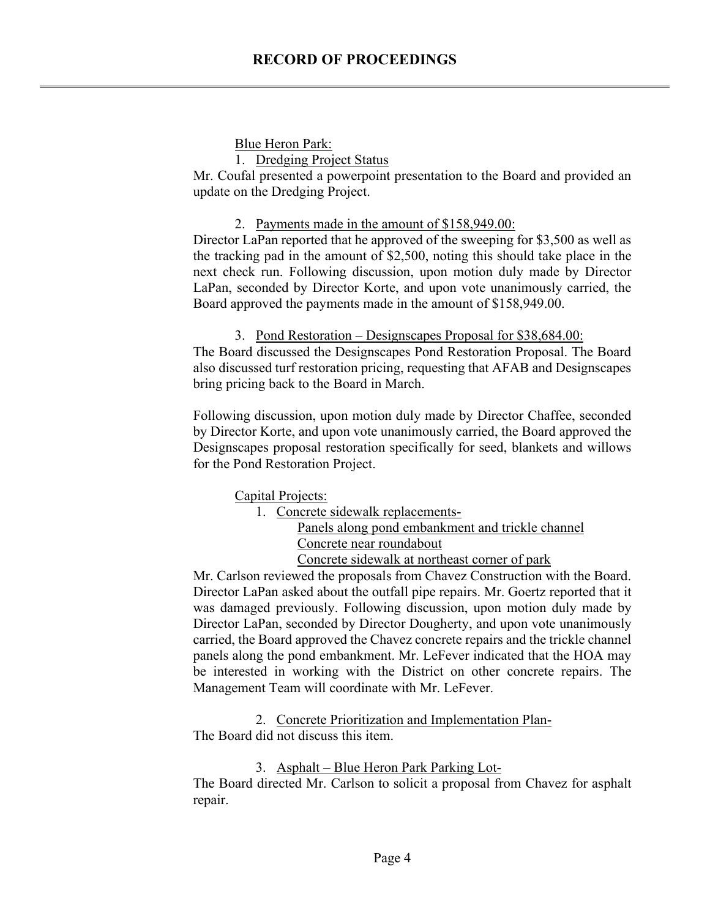### **Blue Heron Park:**

1. Dredging Project Status

Mr. Coufal presented a powerpoint presentation to the Board and provided an update on the Dredging Project.

### 2. Payments made in the amount of \$158,949.00:

Director LaPan reported that he approved of the sweeping for \$3,500 as well as the tracking pad in the amount of \$2,500, noting this should take place in the next check run. Following discussion, upon motion duly made by Director LaPan, seconded by Director Korte, and upon vote unanimously carried, the Board approved the payments made in the amount of \$158,949.00.

### 3. Pond Restoration – Designscapes Proposal for \$38,684.00:

The Board discussed the Designscapes Pond Restoration Proposal. The Board also discussed turf restoration pricing, requesting that AFAB and Designscapes bring pricing back to the Board in March.

Following discussion, upon motion duly made by Director Chaffee, seconded by Director Korte, and upon vote unanimously carried, the Board approved the Designscapes proposal restoration specifically for seed, blankets and willows for the Pond Restoration Project.

Capital Projects:

1. Concrete sidewalk replacements-

Panels along pond embankment and trickle channel Concrete near roundabout

Concrete sidewalk at northeast corner of park

Mr. Carlson reviewed the proposals from Chavez Construction with the Board. Director LaPan asked about the outfall pipe repairs. Mr. Goertz reported that it was damaged previously. Following discussion, upon motion duly made by Director LaPan, seconded by Director Dougherty, and upon vote unanimously carried, the Board approved the Chavez concrete repairs and the trickle channel panels along the pond embankment. Mr. LeFever indicated that the HOA may be interested in working with the District on other concrete repairs. The Management Team will coordinate with Mr. LeFever.

2. Concrete Prioritization and Implementation Plan-The Board did not discuss this item.

3. Asphalt – Blue Heron Park Parking Lot-The Board directed Mr. Carlson to solicit a proposal from Chavez for asphalt repair.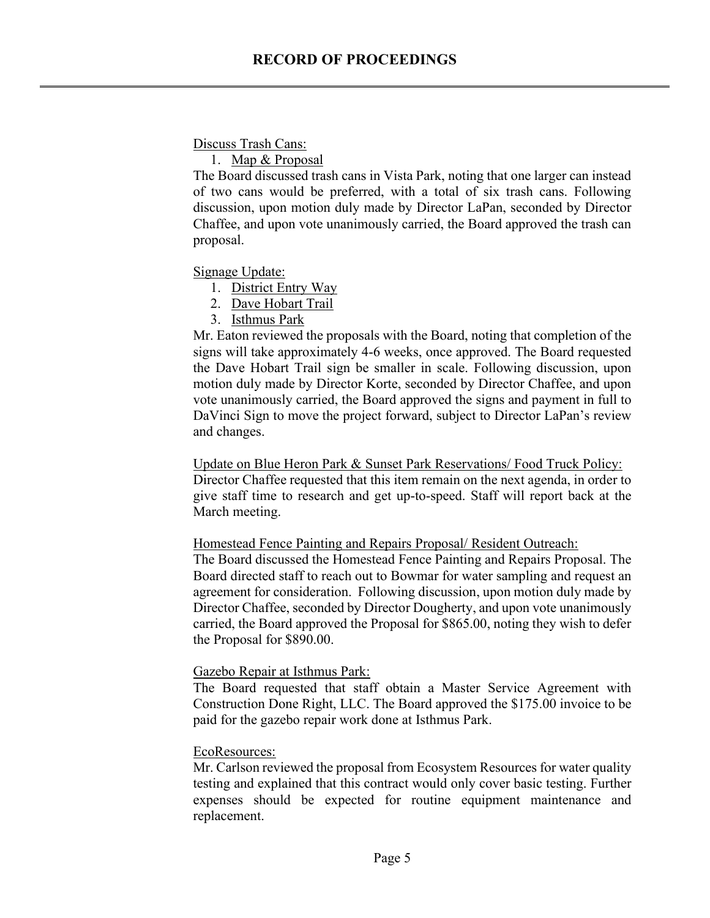Discuss Trash Cans:

1. Map & Proposal

The Board discussed trash cans in Vista Park, noting that one larger can instead of two cans would be preferred, with a total of six trash cans. Following discussion, upon motion duly made by Director LaPan, seconded by Director Chaffee, and upon vote unanimously carried, the Board approved the trash can proposal.

Signage Update:

- 1. District Entry Way
- 2. Dave Hobart Trail
- 3. Isthmus Park

Mr. Eaton reviewed the proposals with the Board, noting that completion of the signs will take approximately 4-6 weeks, once approved. The Board requested the Dave Hobart Trail sign be smaller in scale. Following discussion, upon motion duly made by Director Korte, seconded by Director Chaffee, and upon vote unanimously carried, the Board approved the signs and payment in full to DaVinci Sign to move the project forward, subject to Director LaPan's review and changes.

Update on Blue Heron Park & Sunset Park Reservations/ Food Truck Policy: Director Chaffee requested that this item remain on the next agenda, in order to give staff time to research and get up-to-speed. Staff will report back at the March meeting.

Homestead Fence Painting and Repairs Proposal/ Resident Outreach:

The Board discussed the Homestead Fence Painting and Repairs Proposal. The Board directed staff to reach out to Bowmar for water sampling and request an agreement for consideration. Following discussion, upon motion duly made by Director Chaffee, seconded by Director Dougherty, and upon vote unanimously carried, the Board approved the Proposal for \$865.00, noting they wish to defer the Proposal for \$890.00.

#### Gazebo Repair at Isthmus Park:

The Board requested that staff obtain a Master Service Agreement with Construction Done Right, LLC. The Board approved the \$175.00 invoice to be paid for the gazebo repair work done at Isthmus Park.

#### EcoResources:

Mr. Carlson reviewed the proposal from Ecosystem Resources for water quality testing and explained that this contract would only cover basic testing. Further expenses should be expected for routine equipment maintenance and replacement.